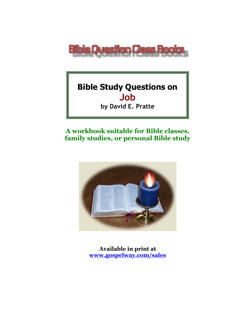

# **Bible Study Questions on Job**

**by David E. Pratte**

# **A workbook suitable for Bible classes, family studies, or personal Bible study**



**Available in print at [www.gospelway.com/sales](https://www.gospelway.com/sales)**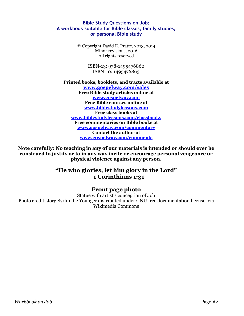#### **Bible Study Questions on Job: A workbook suitable for Bible classes, family studies, or personal Bible study**

© Copyright David E. Pratte, 2013, 2014 Minor revisions, 2016 All rights reserved

> ISBN-13: 978-1495476860 ISBN-10: 1495476863

#### **Printed books, booklets, and tracts available at [www.gospelway.com/sales](https://www.gospelway.com/sales) Free Bible study articles online at [www.gospelway.com](http://www.gospelway.com/) Free Bible courses online at [www.biblestudylessons.com](http://www.biblestudylessons.com/) Free class books at [www.biblestudylessons.com/classbooks](http://www.biblestudylessons.com/classbooks) Free commentaries on Bible books at [www.gospelway.com/commentary](http://www.gospelway.com/commentary) Contact the author at [www.gospelway.com/comments](http://www.gospelway.com/comments)**

**Note carefully: No teaching in any of our materials is intended or should ever be construed to justify or to in any way incite or encourage personal vengeance or physical violence against any person.**

#### **"He who glories, let him glory in the Lord" – 1 Corinthians 1:31**

#### **Front page photo**

Statue with artist's conception of Job Photo credit: Jörg Syrlin the Younger distributed under GNU free documentation license, via Wikimedia Commons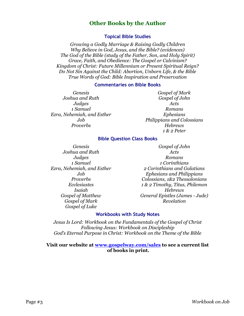#### **Other Books by the Author**

#### **Topical Bible Studies**

*Growing a Godly Marriage & Raising Godly Children Why Believe in God, Jesus, and the Bible? (evidences) The God of the Bible (study of the Father, Son, and Holy Spirit) Grace, Faith, and Obedience: The Gospel or Calvinism? Kingdom of Christ: Future Millennium or Present Spiritual Reign? Do Not Sin Against the Child: Abortion, Unborn Life, & the Bible True Words of God: Bible Inspiration and Preservation*

#### **Commentaries on Bible Books**

*Genesis Joshua and Ruth Judges 1 Samuel Ezra, Nehemiah, and Esther Job Proverbs*

*Gospel of Mark Gospel of John Acts Romans Ephesians Philippians and Colossians Hebrews 1 & 2 Peter*

#### **Bible Question Class Books**

*Genesis Joshua and Ruth Judges 1 Samuel Ezra, Nehemiah, and Esther Job Proverbs Ecclesiastes Isaiah Gospel of Matthew Gospel of Mark Gospel of Luke*

*Gospel of John Acts Romans 1 Corinthians 2 Corinthians and Galatians Ephesians and Philippians Colossians, 1&2 Thessalonians 1 & 2 Timothy, Titus, Philemon Hebrews General Epistles (James - Jude) Revelation*

#### **Workbooks with Study Notes**

*Jesus Is Lord: Workbook on the Fundamentals of the Gospel of Christ Following Jesus: Workbook on Discipleship God's Eternal Purpose in Christ: Workbook on the Theme of the Bible*

#### **Visit our website at [www.gospelway.com/sales](https://www.gospelway.com/sales) to see a current list of books in print.**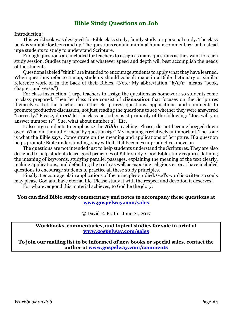#### **Bible Study Questions on Job**

Introduction:

This workbook was designed for Bible class study, family study, or personal study. The class book is suitable for teens and up. The questions contain minimal human commentary, but instead urge students to study to understand Scripture.

Enough questions are included for teachers to assign as many questions as they want for each study session. Studies may proceed at whatever speed and depth will best accomplish the needs of the students.

Questions labeled "think" are intended to encourage students to apply what they have learned. When questions refer to a map, students should consult maps in a Bible dictionary or similar reference work or in the back of their Bibles. (Note: My abbreviation "*b/c/v*" means "book, chapter, and verse.")

For class instruction, I urge teachers to assign the questions as homework so students come to class prepared. Then let class time consist of *discussion* that focuses on the Scriptures themselves. Let the teacher use other Scriptures, questions, applications, and comments to promote productive discussion, not just reading the questions to see whether they were answered "correctly." Please, do *not* let the class period consist primarily of the following: "Joe, will you answer number 1?" "Sue, what about number 2?" Etc.

I also urge students to emphasize the *Bible* teaching. Please, do not become bogged down over "What did the author mean by question #5?" My meaning is relatively unimportant. The issue is what the Bible says. Concentrate on the meaning and applications of Scripture. If a question helps promote Bible understanding, stay with it. If it becomes unproductive, move on.

The questions are not intended just to help students understand the Scriptures. They are also designed to help students learn good principles of Bible study. Good Bible study requires defining the meaning of keywords, studying parallel passages, explaining the meaning of the text clearly, making applications, and defending the truth as well as exposing religious error. I have included questions to encourage students to practice all these study principles.

Finally, I encourage plain applications of the principles studied. God's word is written so souls may please God and have eternal life. Please study it with the respect and devotion it deserves!

For whatever good this material achieves, to God be the glory.

#### **You can find Bible study commentary and notes to accompany these questions at [www.gospelway.com/sales](https://www.gospelway.com/sales)**

© David E. Pratte, June 21, 2017

**Workbooks, commentaries, and topical studies for sale in print at [www.gospelway.com/sales](https://www.gospelway.com/sales)**

**To join our mailing list to be informed of new books or special sales, contact the author at [www.gospelway.com/comments](http://www.gospelway.com/comments)**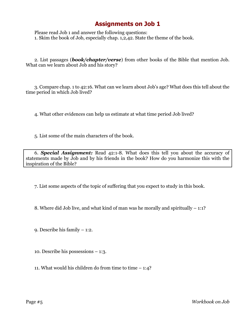Please read Job 1 and answer the following questions: 1. Skim the book of Job, especially chap. 1,2,42. State the theme of the book.

2. List passages (*book/chapter/verse*) from other books of the Bible that mention Job. What can we learn about Job and his story?

3. Compare chap. 1 to 42:16. What can we learn about Job's age? What does this tell about the time period in which Job lived?

4. What other evidences can help us estimate at what time period Job lived?

5. List some of the main characters of the book.

6. *Special Assignment:* Read 42:1-8. What does this tell you about the accuracy of statements made by Job and by his friends in the book? How do you harmonize this with the inspiration of the Bible?

7. List some aspects of the topic of suffering that you expect to study in this book.

8. Where did Job live, and what kind of man was he morally and spiritually – 1:1?

9. Describe his family – 1:2.

10. Describe his possessions – 1:3.

11. What would his children do from time to time  $-1:4$ ?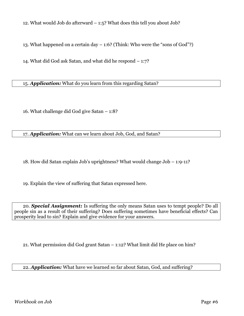12. What would Job do afterward – 1:5? What does this tell you about Job?

13. What happened on a certain day – 1:6? (Think: Who were the "sons of God"?)

14. What did God ask Satan, and what did he respond – 1:7?

15. *Application:* What do you learn from this regarding Satan?

16. What challenge did God give Satan – 1:8?

17. *Application:* What can we learn about Job, God, and Satan?

18. How did Satan explain Job's uprightness? What would change Job – 1:9-11?

19. Explain the view of suffering that Satan expressed here.

20. *Special Assignment:* Is suffering the only means Satan uses to tempt people? Do all people sin as a result of their suffering? Does suffering sometimes have beneficial effects? Can prosperity lead to sin? Explain and give evidence for your answers.

21. What permission did God grant Satan – 1:12? What limit did He place on him?

22. *Application:* What have we learned so far about Satan, God, and suffering?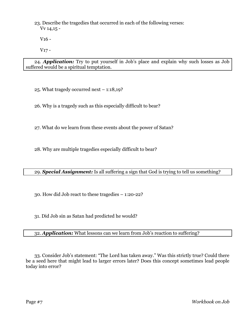23. Describe the tragedies that occurred in each of the following verses: Vv 14,15 -

V16 -

V17 -

24. *Application:* Try to put yourself in Job's place and explain why such losses as Job suffered would be a spiritual temptation.

25. What tragedy occurred next – 1:18,19?

26. Why is a tragedy such as this especially difficult to bear?

27. What do we learn from these events about the power of Satan?

28. Why are multiple tragedies especially difficult to bear?

#### 29. *Special Assignment:* Is all suffering a sign that God is trying to tell us something?

30. How did Job react to these tragedies – 1:20-22?

31. Did Job sin as Satan had predicted he would?

32. *Application:* What lessons can we learn from Job's reaction to suffering?

33. Consider Job's statement: "The Lord has taken away." Was this strictly true? Could there be a seed here that might lead to larger errors later? Does this concept sometimes lead people today into error?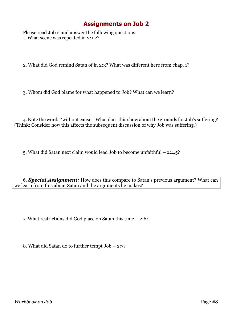Please read Job 2 and answer the following questions: 1. What scene was repeated in 2:1,2?

2. What did God remind Satan of in 2:3? What was different here from chap. 1?

3. Whom did God blame for what happened to Job? What can we learn?

4. Note the words "without cause." What does this show about the grounds for Job's suffering? (Think: Consider how this affects the subsequent discussion of why Job was suffering.)

5. What did Satan next claim would lead Job to become unfaithful – 2:4,5?

6. *Special Assignment:* How does this compare to Satan's previous argument? What can we learn from this about Satan and the arguments he makes?

7. What restrictions did God place on Satan this time – 2:6?

8. What did Satan do to further tempt Job – 2:7?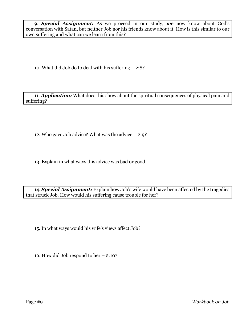9. *Special Assignment:* As we proceed in our study, *we* now know about God's conversation with Satan, but neither Job nor his friends know about it. How is this similar to our own suffering and what can we learn from this?

10. What did Job do to deal with his suffering – 2:8?

11. *Application:* What does this show about the spiritual consequences of physical pain and suffering?

12. Who gave Job advice? What was the advice – 2:9?

13. Explain in what ways this advice was bad or good.

14. *Special Assignment:* Explain how Job's wife would have been affected by the tragedies that struck Job. How would his suffering cause trouble for her?

15. In what ways would his wife's views affect Job?

16. How did Job respond to her – 2:10?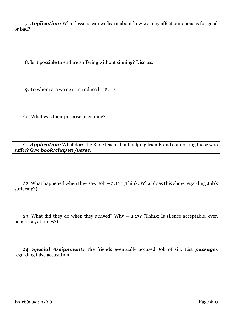18. Is it possible to endure suffering without sinning? Discuss.

19. To whom are we next introduced – 2:11?

20. What was their purpose in coming?

21. *Application:* What does the Bible teach about helping friends and comforting those who suffer? Give *book/chapter/verse*.

22. What happened when they saw Job – 2:12? (Think: What does this show regarding Job's suffering?)

23. What did they do when they arrived? Why – 2:13? (Think: Is silence acceptable, even beneficial, at times?)

24. *Special Assignment:* The friends eventually accused Job of sin. List *passages* regarding false accusation.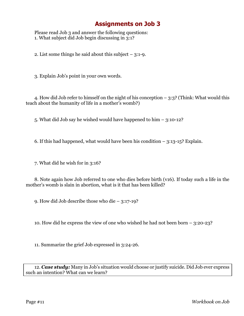Please read Job 3 and answer the following questions: 1. What subject did Job begin discussing in 3:1?

2. List some things he said about this subject – 3:1-9.

3. Explain Job's point in your own words.

4. How did Job refer to himself on the night of his conception – 3:3? (Think: What would this teach about the humanity of life in a mother's womb?)

5. What did Job say he wished would have happened to him – 3:10-12?

6. If this had happened, what would have been his condition  $-$  3:13-15? Explain.

7. What did he wish for in 3:16?

8. Note again how Job referred to one who dies before birth (v16). If today such a life in the mother's womb is slain in abortion, what is it that has been killed?

9. How did Job describe those who die – 3:17-19?

10. How did he express the view of one who wished he had not been born – 3:20-23?

11. Summarize the grief Job expressed in 3:24-26.

12. *Case study:* Many in Job's situation would choose or justify suicide. Did Job ever express such an intention? What can we learn?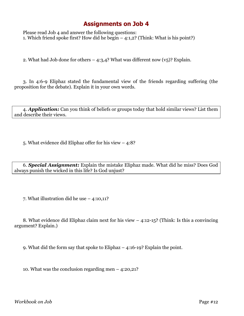Please read Job 4 and answer the following questions: 1. Which friend spoke first? How did he begin – 4:1,2? (Think: What is his point?)

2. What had Job done for others  $-$  4:3,4? What was different now  $(v_5)$ ? Explain.

3. In 4:6-9 Eliphaz stated the fundamental view of the friends regarding suffering (the proposition for the debate). Explain it in your own words.

4. *Application:* Can you think of beliefs or groups today that hold similar views? List them and describe their views.

5. What evidence did Eliphaz offer for his view – 4:8?

6. *Special Assignment:* Explain the mistake Eliphaz made. What did he miss? Does God always punish the wicked in this life? Is God unjust?

7. What illustration did he use – 4:10,11?

8. What evidence did Eliphaz claim next for his view – 4:12-15? (Think: Is this a convincing argument? Explain.)

9. What did the form say that spoke to Eliphaz – 4:16-19? Explain the point.

10. What was the conclusion regarding men  $-$  4:20,21?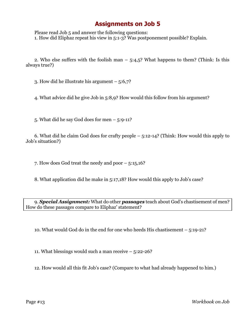Please read Job 5 and answer the following questions: 1. How did Eliphaz repeat his view in 5:1-3? Was postponement possible? Explain.

2. Who else suffers with the foolish man  $-$  5:4,5? What happens to them? (Think: Is this always true?)

3. How did he illustrate his argument – 5:6,7?

4. What advice did he give Job in 5:8,9? How would this follow from his argument?

5. What did he say God does for men  $-$  5:9-11?

6. What did he claim God does for crafty people – 5:12-14? (Think: How would this apply to Job's situation?)

7. How does God treat the needy and poor – 5:15,16?

8. What application did he make in 5:17,18? How would this apply to Job's case?

9. *Special Assignment:* What do other *passages* teach about God's chastisement of men? How do these passages compare to Eliphaz' statement?

10. What would God do in the end for one who heeds His chastisement – 5:19-21?

11. What blessings would such a man receive – 5:22-26?

12. How would all this fit Job's case? (Compare to what had already happened to him.)

Page #13 *Workbook on Job*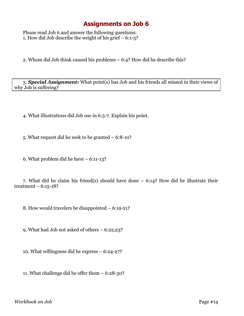Please read Job 6 and answer the following questions: 1. How did Job describe the weight of his grief – 6:1-3?

2. Whom did Job think caused his problems – 6:4? How did he describe this?

3. *Special Assignment:* What point(s) has Job and his friends all missed in their views of why Job is suffering?

4. What illustrations did Job use in 6:5-7. Explain his point.

5. What request did he seek to be granted – 6:8-10?

6. What problem did he have – 6:11-13?

7. What did he claim his friend(s) should have done – 6:14? How did he illustrate their treatment –  $6:15-18?$ 

8. How would travelers be disappointed – 6:19-21?

9. What had Job not asked of others – 6:22,23?

10. What willingness did he express – 6:24-27?

11. What challenge did he offer them – 6:28-30?

*Workbook on Job* Page #14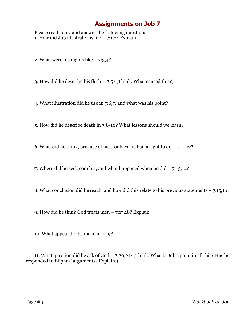Please read Job 7 and answer the following questions: 1. How did Job illustrate his life  $-7:1,2$ ? Explain.

2. What were his nights like  $-7:3,4$ ?

3. How did he describe his flesh  $-7:5$ ? (Think: What caused this?)

4. What illustration did he use in 7:6,7, and what was his point?

5. How did he describe death in 7:8-10? What lessons should we learn?

6. What did he think, because of his troubles, he had a right to  $d_0 - 7:11,12$ ?

7. Where did he seek comfort, and what happened when he did – 7:13,14?

8. What conclusion did he reach, and how did this relate to his previous statements – 7:15,16?

9. How did he think God treats men  $-7:17,18$ ? Explain.

10. What appeal did he make in 7:19?

11. What question did he ask of God – 7:20,21? (Think: What is Job's point in all this? Has he responded to Eliphaz' arguments? Explain.)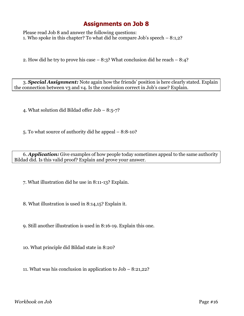Please read Job 8 and answer the following questions: 1. Who spoke in this chapter? To what did he compare Job's speech – 8:1,2?

2. How did he try to prove his case – 8:3? What conclusion did he reach – 8:4?

3. *Special Assignment:* Note again how the friends' position is here clearly stated. Explain the connection between v3 and v4. Is the conclusion correct in Job's case? Explain.

4. What solution did Bildad offer Job – 8:5-7?

5. To what source of authority did he appeal – 8:8-10?

6. *Application:* Give examples of how people today sometimes appeal to the same authority Bildad did. Is this valid proof? Explain and prove your answer.

7. What illustration did he use in 8:11-13? Explain.

8. What illustration is used in 8:14,15? Explain it.

9. Still another illustration is used in 8:16-19. Explain this one.

10. What principle did Bildad state in 8:20?

11. What was his conclusion in application to Job – 8:21,22?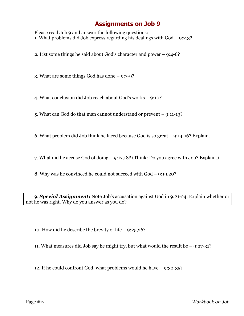Please read Job 9 and answer the following questions: 1. What problems did Job express regarding his dealings with God – 9:2,3?

2. List some things he said about God's character and power – 9:4-6?

3. What are some things God has done – 9:7-9?

4. What conclusion did Job reach about God's works – 9:10?

5. What can God do that man cannot understand or prevent – 9:11-13?

6. What problem did Job think he faced because God is so great – 9:14-16? Explain.

7. What did he accuse God of doing – 9:17,18? (Think: Do you agree with Job? Explain.)

8. Why was he convinced he could not succeed with God – 9:19,20?

9. *Special Assignment:* Note Job's accusation against God in 9:21-24. Explain whether or not he was right. Why do you answer as you do?

10. How did he describe the brevity of life – 9:25,26?

11. What measures did Job say he might try, but what would the result be – 9:27-31?

12. If he could confront God, what problems would he have – 9:32-35?

Page #17 *Workbook on Job*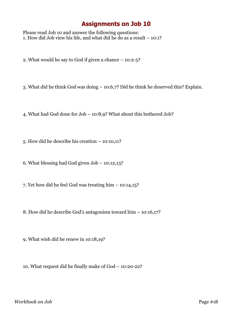Please read Job 10 and answer the following questions: 1. How did Job view his life, and what did he do as a result – 10:1?

2. What would he say to God if given a chance – 10:2-5?

3. What did he think God was doing – 10:6,7? Did he think he deserved this? Explain.

4. What had God done for Job – 10:8,9? What about this bothered Job?

5. How did he describe his creation – 10:10,11?

6. What blessing had God given Job – 10:12,13?

7. Yet how did he feel God was treating him – 10:14,15?

8. How did he describe God's antagonism toward him – 10:16,17?

9. What wish did he renew in 10:18,19?

10. What request did he finally make of God – 10:20-22?

*Workbook on Job* Page #18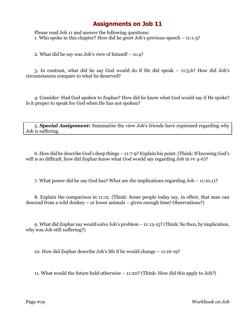Please read Job 11 and answer the following questions: 1. Who spoke in this chapter? How did he greet Job's previous speech – 11:1-3?

2. What did he say was Job's view of himself – 11:4?

3. In contrast, what did he say God would do if He did speak – 11:5,6? How did Job's circumstances compare to what he deserved?

4. Consider: Had God spoken to Zophar? How did he know what God would say if He spoke? Is it proper to speak for God when He has not spoken?

5. *Special Assignment:* Summarize the view Job's friends have expressed regarding why Job is suffering.

6. How did he describe God's deep things – 11:7-9? Explain his point. (Think: If knowing God's will is so difficult, how did Zophar know what God would say regarding Job in  $vv$  4-6)?

7. What power did he say God has? What are the implications regarding Job – 11:10,11?

8. Explain the comparison in 11:12. (Think: Some people today say, in effect, that man can descend from a wild donkey – or lower animals – given enough time! Observations?)

9. What did Zophar say would solve Job's problem – 11:13-15? (Think: So then, by implication, why was Job still suffering?)

10. How did Zophar describe Job's life if he would change – 11:16-19?

11. What would the future hold otherwise – 11:20? (Think: How did this apply to Job?)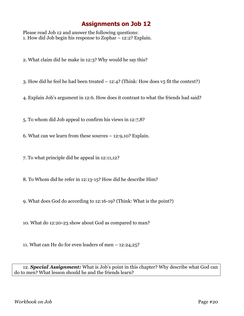Please read Job 12 and answer the following questions: 1. How did Job begin his response to Zophar – 12:2? Explain.

2. What claim did he make in 12:3? Why would he say this?

3. How did he feel he had been treated  $-12:4$ ? (Think: How does  $v_5$  fit the context?)

4. Explain Job's argument in 12:6. How does it contrast to what the friends had said?

5. To whom did Job appeal to confirm his views in 12:7,8?

6. What can we learn from these sources – 12:9,10? Explain.

7. To what principle did he appeal in 12:11,12?

8. To Whom did he refer in 12:13-15? How did he describe Him?

9. What does God do according to 12:16-19? (Think: What is the point?)

10. What do 12:20-23 show about God as compared to man?

11. What can He do for even leaders of men – 12:24,25?

12. *Special Assignment:* What is Job's point in this chapter? Why describe what God can do to men? What lesson should he and the friends learn?

*Workbook on Job* Page #20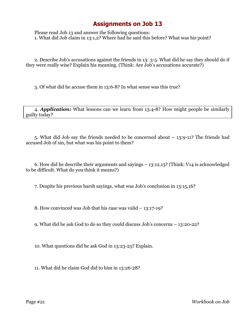Please read Job 13 and answer the following questions: 1. What did Job claim in 13:1,2? Where had he said this before? What was his point?

2. Describe Job's accusations against the friends in 13: 3-5. What did he say they should do if they were really wise? Explain his meaning. (Think: Are Job's accusations accurate?)

3. Of what did he accuse them in 13:6-8? In what sense was this true?

4. *Application:* What lessons can we learn from 13:4-8? How might people be similarly guilty today?

5. What did Job say the friends needed to be concerned about – 13:9-11? The friends had accused Job of sin, but what was his point to them?

6. How did he describe their arguments and sayings – 13:12,13? (Think: V14 is acknowledged to be difficult. What do you think it means?)

7. Despite his previous harsh sayings, what was Job's conclusion in 13:15,16?

8. How convinced was Job that his case was valid – 13:17-19?

9. What did he ask God to do so they could discuss Job's concerns – 13:20-22?

10. What questions did he ask God in 13:23-25? Explain.

11. What did he claim God did to him in 13:26-28?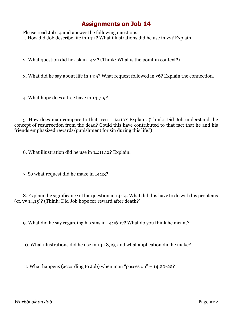Please read Job 14 and answer the following questions: 1. How did Job describe life in 14:1? What illustrations did he use in v2? Explain.

2. What question did he ask in 14:4? (Think: What is the point in context?)

3. What did he say about life in 14:5? What request followed in v6? Explain the connection.

4. What hope does a tree have in 14:7-9?

5. How does man compare to that tree – 14:10? Explain. (Think: Did Job understand the concept of resurrection from the dead? Could this have contributed to that fact that he and his friends emphasized rewards/punishment for sin during this life?)

6. What illustration did he use in 14:11,12? Explain.

7. So what request did he make in 14:13?

8. Explain the significance of his question in 14:14. What did this have to do with his problems (cf. vv 14,15)? (Think: Did Job hope for reward after death?)

9. What did he say regarding his sins in 14:16,17? What do you think he meant?

10. What illustrations did he use in 14:18,19, and what application did he make?

11. What happens (according to Job) when man "passes on" – 14:20-22?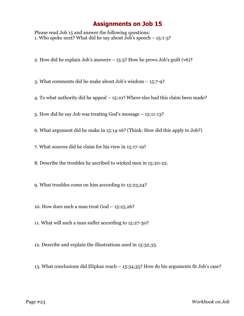Please read Job 15 and answer the following questions: 1. Who spoke next? What did he say about Job's speech – 15:1-3?

2. How did he explain Job's answers – 15:5? How he prove Job's guilt (v6)?

3. What comments did he make about Job's wisdom – 15:7-9?

4. To what authority did he appeal – 15:10? Where else had this claim been made?

5. How did he say Job was treating God's message – 15:11-13?

6. What argument did he make in 15:14-16? (Think: How did this apply to Job?)

7. What sources did he claim for his view in 15:17-19?

8. Describe the troubles he ascribed to wicked men in 15:20-22.

9. What troubles come on him according to 15:23,24?

10. How does such a man treat  $God - 15:25,26?$ 

11. What will such a man suffer according to 15:27-30?

12. Describe and explain the illustrations used in 15:32,33.

13. What conclusions did Eliphaz reach – 15:34,35? How do his arguments fit Job's case?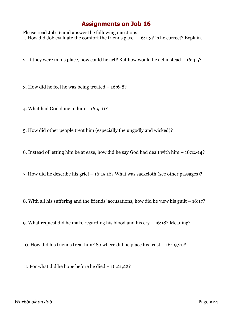Please read Job 16 and answer the following questions: 1. How did Job evaluate the comfort the friends gave – 16:1-3? Is he correct? Explain.

2. If they were in his place, how could he act? But how would he act instead – 16:4,5?

3. How did he feel he was being treated – 16:6-8?

4. What had God done to him – 16:9-11?

5. How did other people treat him (especially the ungodly and wicked)?

6. Instead of letting him be at ease, how did he say God had dealt with him – 16:12-14?

7. How did he describe his grief – 16:15,16? What was sackcloth (see other passages)?

8. With all his suffering and the friends' accusations, how did he view his guilt – 16:17?

9. What request did he make regarding his blood and his cry – 16:18? Meaning?

10. How did his friends treat him? So where did he place his trust – 16:19,20?

11. For what did he hope before he died – 16:21,22?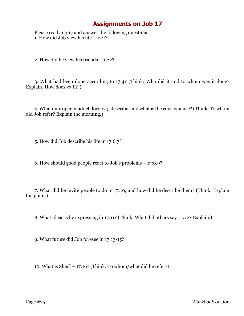Please read Job 17 and answer the following questions: 1. How did Job view his life  $-17:1?$ 

2. How did he view his friends – 17:2?

3. What had been done according to 17:4? (Think: Who did it and to whom was it done? Explain. How does v3 fit?)

4. What improper conduct does 17:5 describe, and what is the consequence? (Think: To whom did Job refer? Explain the meaning.)

5. How did Job describe his life in 17:6,7?

6. How should good people react to Job's problems – 17:8,9?

7. What did he invite people to do in 17:10, and how did he describe them? (Think: Explain the point.)

8. What ideas is he expressing in 17:11? (Think: What did others say – v12? Explain.)

9. What future did Job foresee in 17:13-15?

10. What is Sheol – 17:16? (Think: To whom/what did he refer?)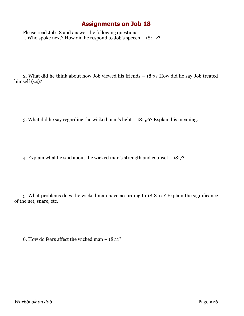Please read Job 18 and answer the following questions: 1. Who spoke next? How did he respond to Job's speech  $-18:1,2$ ?

2. What did he think about how Job viewed his friends – 18:3? How did he say Job treated himself  $(v_4)$ ?

3. What did he say regarding the wicked man's light – 18:5,6? Explain his meaning.

4. Explain what he said about the wicked man's strength and counsel – 18:7?

5. What problems does the wicked man have according to 18:8-10? Explain the significance of the net, snare, etc.

6. How do fears affect the wicked man – 18:11?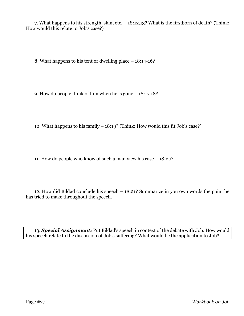7. What happens to his strength, skin, etc. – 18:12,13? What is the firstborn of death? (Think: How would this relate to Job's case?)

8. What happens to his tent or dwelling place – 18:14-16?

9. How do people think of him when he is gone – 18:17,18?

10. What happens to his family – 18:19? (Think: How would this fit Job's case?)

11. How do people who know of such a man view his case – 18:20?

12. How did Bildad conclude his speech – 18:21? Summarize in you own words the point he has tried to make throughout the speech.

13. *Special Assignment:* Put Bildad's speech in context of the debate with Job. How would his speech relate to the discussion of Job's suffering? What would be the application to Job?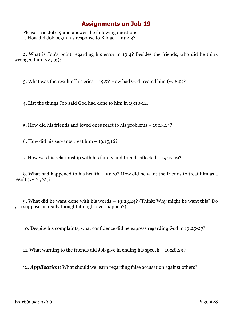Please read Job 19 and answer the following questions: 1. How did Job begin his response to Bildad – 19:2,3?

2. What is Job's point regarding his error in 19:4? Besides the friends, who did he think wronged him (vv 5,6)?

3. What was the result of his cries  $-19:7$ ? How had God treated him (vv 8,9)?

4. List the things Job said God had done to him in 19:10-12.

5. How did his friends and loved ones react to his problems – 19:13,14?

6. How did his servants treat him – 19:15,16?

7. How was his relationship with his family and friends affected – 19:17-19?

8. What had happened to his health – 19:20? How did he want the friends to treat him as a result (vv 21,22)?

9. What did he want done with his words – 19:23,24? (Think: Why might he want this? Do you suppose he really thought it might ever happen?)

10. Despite his complaints, what confidence did he express regarding God in 19:25-27?

11. What warning to the friends did Job give in ending his speech – 19:28,29?

12. *Application:* What should we learn regarding false accusation against others?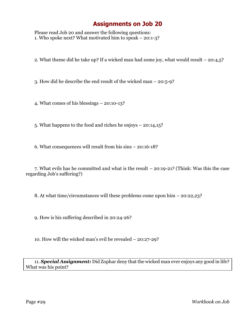Please read Job 20 and answer the following questions: 1. Who spoke next? What motivated him to speak – 20:1-3?

2. What theme did he take up? If a wicked man had some joy, what would result – 20:4,5?

3. How did he describe the end result of the wicked man – 20:5-9?

4. What comes of his blessings – 20:10-13?

5. What happens to the food and riches he enjoys – 20:14,15?

6. What consequences will result from his sins – 20:16-18?

7. What evils has he committed and what is the result – 20:19-21? (Think: Was this the case regarding Job's suffering?)

8. At what time/circumstances will these problems come upon him – 20:22,23?

9. How is his suffering described in 20:24-26?

10. How will the wicked man's evil be revealed – 20:27-29?

11. *Special Assignment:* Did Zophar deny that the wicked man ever enjoys any good in life? What was his point?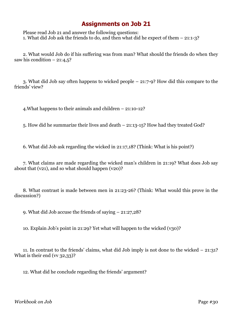Please read Job 21 and answer the following questions: 1. What did Job ask the friends to do, and then what did he expect of them – 21:1-3?

2. What would Job do if his suffering was from man? What should the friends do when they saw his condition  $-21:4,5$ ?

3. What did Job say often happens to wicked people – 21:7-9? How did this compare to the friends' view?

4.What happens to their animals and children – 21:10-12?

5. How did he summarize their lives and death – 21:13-15? How had they treated God?

6. What did Job ask regarding the wicked in 21:17,18? (Think: What is his point?)

7. What claims are made regarding the wicked man's children in 21:19? What does Job say about that (v21), and so what should happen (v20)?

8. What contrast is made between men in 21:23-26? (Think: What would this prove in the discussion?)

9. What did Job accuse the friends of saying – 21:27,28?

10. Explain Job's point in 21:29? Yet what will happen to the wicked (v30)?

11. In contrast to the friends' claims, what did Job imply is not done to the wicked – 21:31? What is their end ( $\vee$  32,33)?

12. What did he conclude regarding the friends' argument?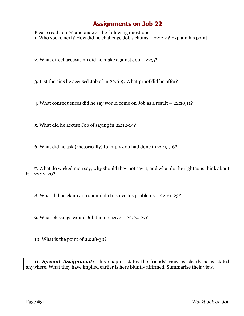Please read Job 22 and answer the following questions: 1. Who spoke next? How did he challenge Job's claims – 22:2-4? Explain his point.

2. What direct accusation did he make against Job – 22:5?

3. List the sins he accused Job of in 22:6-9. What proof did he offer?

4. What consequences did he say would come on Job as a result – 22:10,11?

5. What did he accuse Job of saying in 22:12-14?

6. What did he ask (rhetorically) to imply Job had done in 22:15,16?

7. What do wicked men say, why should they not say it, and what do the righteous think about  $it - 22:17-20?$ 

8. What did he claim Job should do to solve his problems – 22:21-23?

9. What blessings would Job then receive – 22:24-27?

10. What is the point of 22:28-30?

11. *Special Assignment:* This chapter states the friends' view as clearly as is stated anywhere. What they have implied earlier is here bluntly affirmed. Summarize their view.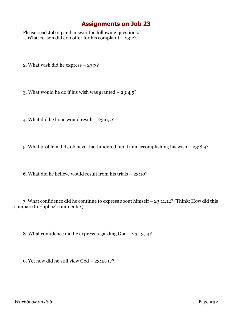Please read Job 23 and answer the following questions: 1. What reason did Job offer for his complaint – 23:2?

2. What wish did he express – 23:3?

3. What would he do if his wish was granted  $-23:4,5$ ?

4. What did he hope would result – 23:6,7?

5. What problem did Job have that hindered him from accomplishing his wish – 23:8,9?

6. What did he believe would result from his trials – 23:10?

7. What confidence did he continue to express about himself – 23:11,12? (Think: How did this compare to Eliphaz' comments?)

8. What confidence did he express regarding God – 23:13,14?

9. Yet how did he still view God – 23:15-17?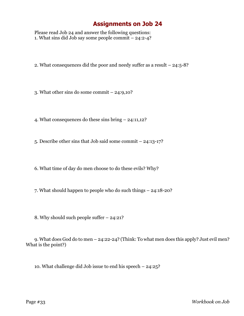Please read Job 24 and answer the following questions: 1. What sins did Job say some people commit – 24:2-4?

2. What consequences did the poor and needy suffer as a result – 24:5-8?

3. What other sins do some commit – 24:9,10?

4. What consequences do these sins bring – 24:11,12?

5. Describe other sins that Job said some commit – 24:13-17?

6. What time of day do men choose to do these evils? Why?

7. What should happen to people who do such things – 24:18-20?

8. Why should such people suffer – 24:21?

9. What does God do to men – 24:22-24? (Think: To what men does this apply? Just evil men? What is the point?)

10. What challenge did Job issue to end his speech – 24:25?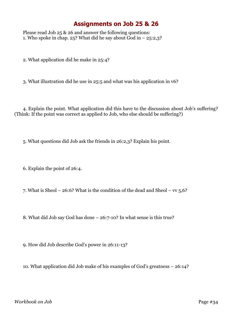#### **Assignments on Job 25 & 26**

Please read Job 25 & 26 and answer the following questions: 1. Who spoke in chap. 25? What did he say about  $\overline{G}$  in  $-$  25:2,3?

2. What application did he make in 25:4?

3. What illustration did he use in 25:5 and what was his application in v6?

4. Explain the point. What application did this have to the discussion about Job's suffering? (Think: If the point was correct as applied to Job, who else should be suffering?)

5. What questions did Job ask the friends in 26:2,3? Explain his point.

6. Explain the point of 26:4.

7. What is Sheol – 26:6? What is the condition of the dead and Sheol –  $vv$  5,6?

8. What did Job say God has done – 26:7-10? In what sense is this true?

9. How did Job describe God's power in 26:11-13?

10. What application did Job make of his examples of God's greatness – 26:14?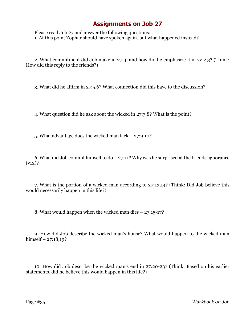Please read Job 27 and answer the following questions: 1. At this point Zophar should have spoken again, but what happened instead?

2. What commitment did Job make in 27:4, and how did he emphasize it in vv 2,3? (Think: How did this reply to the friends?)

3. What did he affirm in 27:5,6? What connection did this have to the discussion?

4. What question did he ask about the wicked in 27:7,8? What is the point?

5. What advantage does the wicked man lack – 27:9,10?

6. What did Job commit himself to  $d_0 - 27:11$ ? Why was he surprised at the friends' ignorance  $(v12)?$ 

7. What is the portion of a wicked man according to 27:13,14? (Think: Did Job believe this would necessarily happen in this life?)

8. What would happen when the wicked man dies – 27:15-17?

9. How did Job describe the wicked man's house? What would happen to the wicked man himself –  $27:18,19$ ?

10. How did Job describe the wicked man's end in 27:20-23? (Think: Based on his earlier statements, did he believe this would happen in this life?)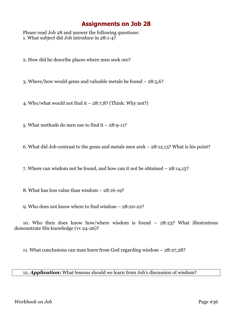Please read Job 28 and answer the following questions: 1. What subject did Job introduce in 28:1-4?

2. How did he describe places where men seek ore?

3. Where/how would gems and valuable metals be found – 28:5,6?

4. Who/what would not find it  $-28:7,8$ ? (Think: Why not?)

5. What methods do men use to find it  $-28:9-11$ ?

6. What did Job contrast to the gems and metals men seek – 28:12,13? What is his point?

7. Where can wisdom not be found, and how can it not be obtained – 28:14,15?

8. What has less value than wisdom – 28:16-19?

9. Who does not know where to find wisdom – 28:20-22?

10. Who then does know how/where wisdom is found – 28:23? What illustrations demonstrate His knowledge (vv 24-26)?

11. What conclusions can man learn from God regarding wisdom – 28:27,28?

12. *Application:* What lessons should we learn from Job's discussion of wisdom?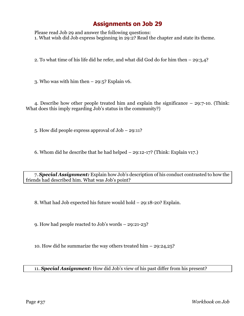Please read Job 29 and answer the following questions: 1. What wish did Job express beginning in 29:2? Read the chapter and state its theme.

2. To what time of his life did he refer, and what did God do for him then – 29:3,4?

3. Who was with him then  $-29:5$ ? Explain v6.

4. Describe how other people treated him and explain the significance – 29:7-10. (Think: What does this imply regarding Job's status in the community?)

5. How did people express approval of Job – 29:11?

6. Whom did he describe that he had helped – 29:12-17? (Think: Explain v17.)

7. *Special Assignment:* Explain how Job's description of his conduct contrasted to how the friends had described him. What was Job's point?

8. What had Job expected his future would hold – 29:18-20? Explain.

9. How had people reacted to Job's words – 29:21-23?

10. How did he summarize the way others treated him – 29:24,25?

11. *Special Assignment:* How did Job's view of his past differ from his present?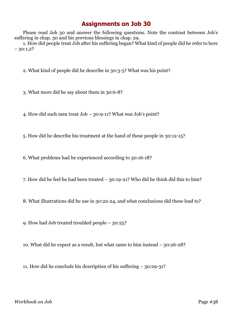Please read Job 30 and answer the following questions. Note the contrast between Job's suffering in chap. 30 and his previous blessings in chap. 29.

1. How did people treat Job after his suffering began? What kind of people did he refer to here  $-30:1,2?$ 

2. What kind of people did he describe in 30:3-5? What was his point?

3. What more did he say about them in 30:6-8?

4. How did such men treat Job – 30:9-11? What was Job's point?

5. How did he describe his treatment at the hand of these people in 30:12-15?

6. What problems had he experienced according to 30:16-18?

7. How did he feel he had been treated – 30:19-21? Who did he think did this to him?

8. What illustrations did he use in 30:22-24, and what conclusions did these lead to?

9. How had Job treated troubled people – 30:25?

10. What did he expect as a result, but what came to him instead – 30:26-28?

11. How did he conclude his description of his suffering – 30:29-31?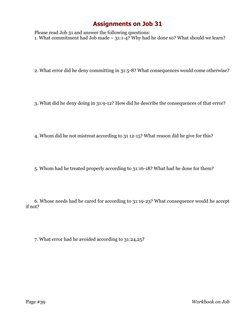Please read Job 31 and answer the following questions: 1. What commitment had Job made –  $31:1-4$ ? Why had he done so? What should we learn?

- 2. What error did he deny committing in 31:5-8? What consequences would come otherwise?
- 3. What did he deny doing in 31:9-12? How did he describe the consequences of that error?
- 4. Whom did he not mistreat according to 31 12-15? What reason did he give for this?
- 5. Whom had he treated properly according to 31:16-18? What had he done for them?

6. Whose needs had he cared for according to 31:19-23? What consequence would he accept if not?

7. What error had he avoided according to 31:24,25?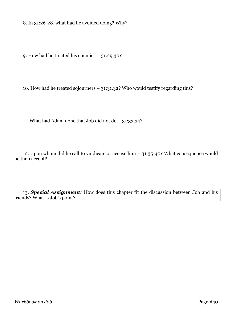8. In 31:26-28, what had he avoided doing? Why?

9. How had he treated his enemies – 31:29,30?

10. How had he treated sojourners – 31:31,32? Who would testify regarding this?

11. What had Adam done that Job did not do – 31:33,34?

12. Upon whom did he call to vindicate or accuse him – 31:35-40? What consequence would he then accept?

13. *Special Assignment:* How does this chapter fit the discussion between Job and his friends? What is Job's point?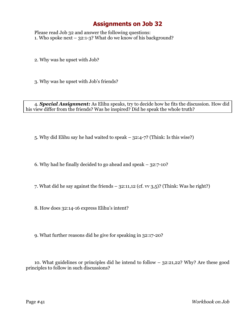Please read Job 32 and answer the following questions: 1. Who spoke next –  $32:1-3$ ? What do we know of his background?

2. Why was he upset with Job?

3. Why was he upset with Job's friends?

4. *Special Assignment:* As Elihu speaks, try to decide how he fits the discussion. How did his view differ from the friends? Was he inspired? Did he speak the whole truth?

5. Why did Elihu say he had waited to speak – 32:4-7? (Think: Is this wise?)

6. Why had he finally decided to go ahead and speak – 32:7-10?

7. What did he say against the friends  $-32:11,12$  (cf. vv 3,5)? (Think: Was he right?)

8. How does 32:14-16 express Elihu's intent?

9. What further reasons did he give for speaking in 32:17-20?

10. What guidelines or principles did he intend to follow – 32:21,22? Why? Are these good principles to follow in such discussions?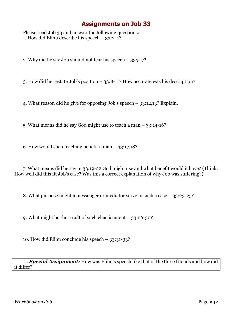Please read Job 33 and answer the following questions: 1. How did Elihu describe his speech  $-33:2-4$ ?

2. Why did he say Job should not fear his speech – 33:5-7?

3. How did he restate Job's position – 33:8-11? How accurate was his description?

4. What reason did he give for opposing Job's speech – 33:12,13? Explain.

5. What means did he say God might use to teach a man – 33:14-16?

6. How would such teaching benefit a man  $-$  33:17,18?

7. What means did he say in 33:19-22 God might use and what benefit would it have? (Think: How well did this fit Job's case? Was this a correct explanation of why Job was suffering?)

8. What purpose might a messenger or mediator serve in such a case – 33:23-25?

9. What might be the result of such chastisement – 33:26-30?

10. How did Elihu conclude his speech – 33:31-33?

11. *Special Assignment:* How was Elihu's speech like that of the three friends and how did it differ?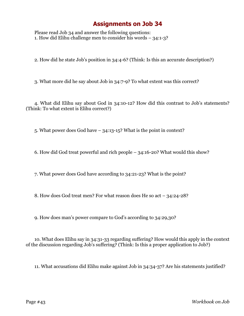Please read Job 34 and answer the following questions: 1. How did Elihu challenge men to consider his words – 34:1-3?

2. How did he state Job's position in 34:4-6? (Think: Is this an accurate description?)

3. What more did he say about Job in 34:7-9? To what extent was this correct?

4. What did Elihu say about God in 34:10-12? How did this contrast to Job's statements? (Think: To what extent is Elihu correct?)

5. What power does God have – 34:13-15? What is the point in context?

6. How did God treat powerful and rich people – 34:16-20? What would this show?

7. What power does God have according to 34:21-23? What is the point?

8. How does God treat men? For what reason does He so act – 34:24-28?

9. How does man's power compare to God's according to 34:29,30?

10. What does Elihu say in 34:31-33 regarding suffering? How would this apply in the context of the discussion regarding Job's suffering? (Think: Is this a proper application to Job?)

11. What accusations did Elihu make against Job in 34:34-37? Are his statements justified?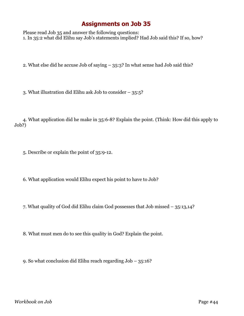Please read Job 35 and answer the following questions: 1. In 35:2 what did Elihu say Job's statements implied? Had Job said this? If so, how?

2. What else did he accuse Job of saying – 35:3? In what sense had Job said this?

3. What illustration did Elihu ask Job to consider – 35:5?

4. What application did he make in 35:6-8? Explain the point. (Think: How did this apply to Job?)

5. Describe or explain the point of 35:9-12.

6. What application would Elihu expect his point to have to Job?

7. What quality of God did Elihu claim God possesses that Job missed – 35:13,14?

8. What must men do to see this quality in God? Explain the point.

9. So what conclusion did Elihu reach regarding Job – 35:16?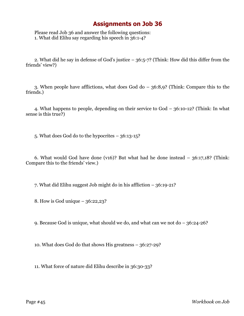Please read Job 36 and answer the following questions: 1. What did Elihu say regarding his speech in 36:1-4?

2. What did he say in defense of God's justice – 36:5-7? (Think: How did this differ from the friends' view?)

3. When people have afflictions, what does God do – 36:8,9? (Think: Compare this to the friends.)

4. What happens to people, depending on their service to God – 36:10-12? (Think: In what sense is this true?)

5. What does God do to the hypocrites – 36:13-15?

6. What would God have done (v16)? But what had he done instead – 36:17,18? (Think: Compare this to the friends' view.)

7. What did Elihu suggest Job might do in his affliction – 36:19-21?

8. How is God unique – 36:22,23?

9. Because God is unique, what should we do, and what can we not do – 36:24-26?

10. What does God do that shows His greatness – 36:27-29?

11. What force of nature did Elihu describe in 36:30-33?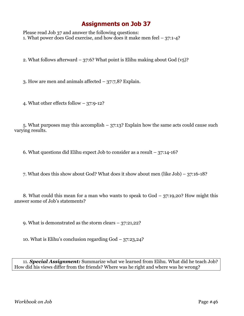Please read Job 37 and answer the following questions: 1. What power does God exercise, and how does it make men feel – 37:1-4?

2. What follows afterward – 37:6? What point is Elihu making about God  $(v_5)$ ?

3. How are men and animals affected – 37:7,8? Explain.

4. What other effects follow – 37:9-12?

5. What purposes may this accomplish  $-37:13$ ? Explain how the same acts could cause such varying results.

6. What questions did Elihu expect Job to consider as a result  $-37:14-16$ ?

7. What does this show about God? What does it show about men (like Job) – 37:16-18?

8. What could this mean for a man who wants to speak to God – 37:19,20? How might this answer some of Job's statements?

9. What is demonstrated as the storm clears – 37:21,22?

10. What is Elihu's conclusion regarding God – 37:23,24?

11. *Special Assignment:* Summarize what we learned from Elihu. What did he teach Job? How did his views differ from the friends? Where was he right and where was he wrong?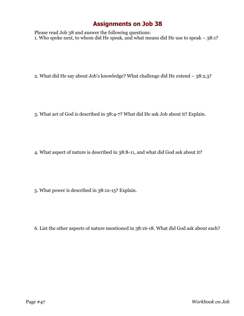Please read Job 38 and answer the following questions: 1. Who spoke next, to whom did He speak, and what means did He use to speak – 38:1?

2. What did He say about Job's knowledge? What challenge did He extend – 38:2,3?

3. What act of God is described in 38:4-7? What did He ask Job about it? Explain.

4. What aspect of nature is described in 38:8-11, and what did God ask about it?

5. What power is described in 38:12-15? Explain.

6. List the other aspects of nature mentioned in 38:16-18. What did God ask about each?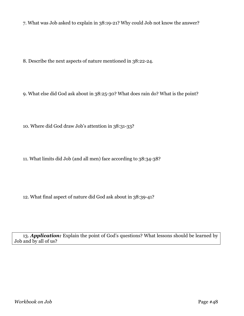7. What was Job asked to explain in 38:19-21? Why could Job not know the answer?

8. Describe the next aspects of nature mentioned in 38:22-24.

9. What else did God ask about in 38:25-30? What does rain do? What is the point?

10. Where did God draw Job's attention in 38:31-33?

11. What limits did Job (and all men) face according to 38:34-38?

12. What final aspect of nature did God ask about in 38:39-41?

13. *Application:* Explain the point of God's questions? What lessons should be learned by Job and by all of us?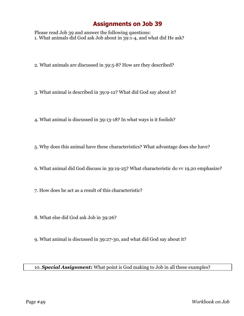Please read Job 39 and answer the following questions: 1. What animals did God ask Job about in 39:1-4, and what did He ask?

2. What animals are discussed in 39:5-8? How are they described?

3. What animal is described in 39:9-12? What did God say about it?

- 4. What animal is discussed in 39:13-18? In what ways is it foolish?
- 5. Why does this animal have these characteristics? What advantage does she have?
- 6. What animal did God discuss in 39:19-25? What characteristic do vv 19,20 emphasize?
- 7. How does he act as a result of this characteristic?
- 8. What else did God ask Job in 39:26?
- 9. What animal is discussed in 39:27-30, and what did God say about it?

#### 10. *Special Assignment:* What point is God making to Job in all these examples?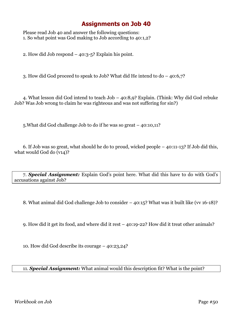Please read Job 40 and answer the following questions: 1. So what point was God making to Job according to 40:1,2?

2. How did Job respond  $-$  40:3-5? Explain his point.

3. How did God proceed to speak to Job? What did He intend to do – 40:6,7?

4. What lesson did God intend to teach Job – 40:8,9? Explain. (Think: Why did God rebuke Job? Was Job wrong to claim he was righteous and was not suffering for sin?)

5.What did God challenge Job to do if he was so great – 40:10,11?

6. If Job was so great, what should he do to proud, wicked people – 40:11-13? If Job did this, what would God do (v14)?

7. *Special Assignment:* Explain God's point here. What did this have to do with God's accusations against Job?

8. What animal did God challenge Job to consider – 40:15? What was it built like (vv 16-18)?

9. How did it get its food, and where did it rest – 40:19-22? How did it treat other animals?

10. How did God describe its courage – 40:23,24?

11. *Special Assignment:* What animal would this description fit? What is the point?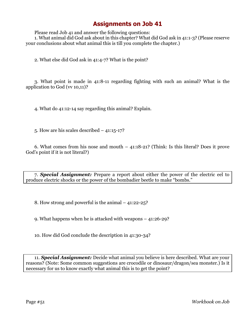Please read Job 41 and answer the following questions:

1. What animal did God ask about in this chapter? What did God ask in 41:1-3? (Please reserve your conclusions about what animal this is till you complete the chapter.)

2. What else did God ask in 41:4-7? What is the point?

3. What point is made in 41:8-11 regarding fighting with such an animal? What is the application to God (vv 10,11)?

4. What do 41:12-14 say regarding this animal? Explain.

5. How are his scales described – 41:15-17?

6. What comes from his nose and mouth – 41:18-21? (Think: Is this literal? Does it prove God's point if it is not literal?)

7. *Special Assignment:* Prepare a report about either the power of the electric eel to produce electric shocks or the power of the bombadier beetle to make "bombs."

8. How strong and powerful is the animal – 41:22-25?

9. What happens when he is attacked with weapons – 41:26-29?

10. How did God conclude the description in 41:30-34?

11. *Special Assignment:* Decide what animal you believe is here described. What are your reasons? (Note: Some common suggestions are crocodile or dinosaur/dragon/sea monster.) Is it necessary for us to know exactly what animal this is to get the point?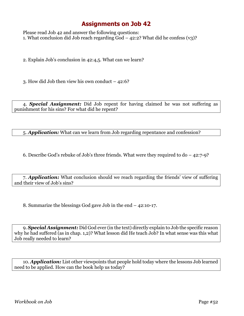Please read Job 42 and answer the following questions: 1. What conclusion did Job reach regarding God  $-$  42:2? What did he confess (v3)?

2. Explain Job's conclusion in 42:4,5. What can we learn?

3. How did Job then view his own conduct – 42:6?

4. *Special Assignment:* Did Job repent for having claimed he was not suffering as punishment for his sins? For what did he repent?

5. *Application:* What can we learn from Job regarding repentance and confession?

6. Describe God's rebuke of Job's three friends. What were they required to  $d_0 - 42:7-9$ ?

7. *Application:* What conclusion should we reach regarding the friends' view of suffering and their view of Job's sins?

8. Summarize the blessings God gave Job in the end – 42:10-17.

9. *Special Assignment:* Did God ever (in the text) directly explain to Job the specific reason why he had suffered (as in chap. 1,2)? What lesson did He teach Job? In what sense was this what Job really needed to learn?

10. *Application:* List other viewpoints that people hold today where the lessons Job learned need to be applied. How can the book help us today?